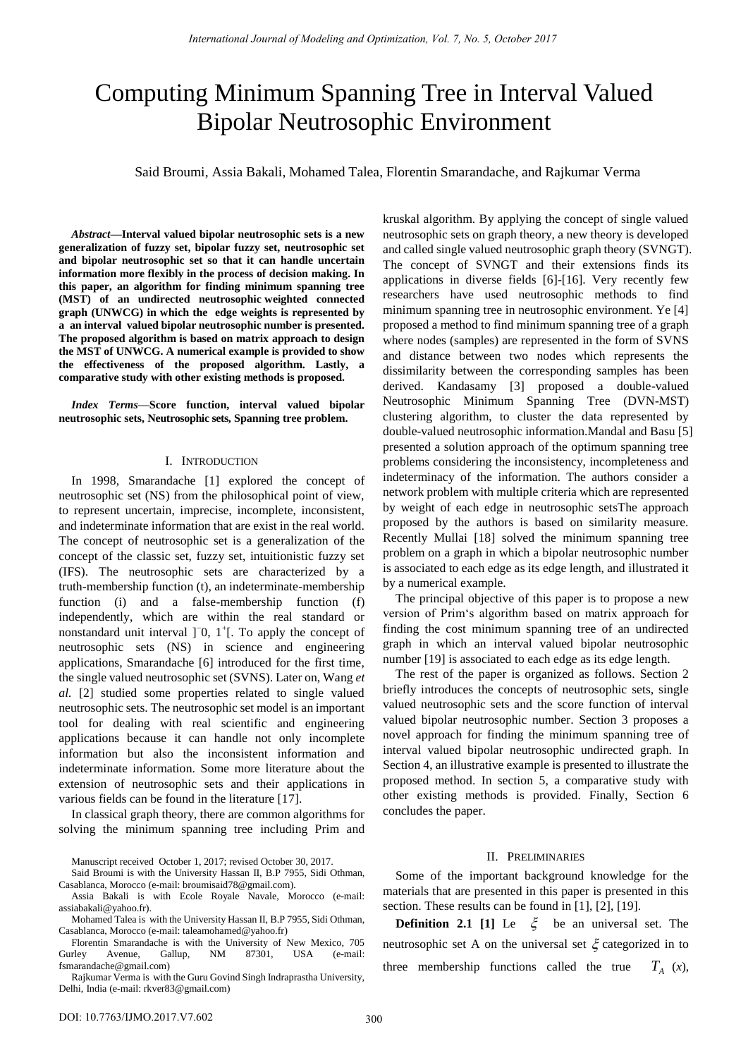# Computing Minimum Spanning Tree in Interval Valued Bipolar Neutrosophic Environment

Said Broumi, Assia Bakali, Mohamed Talea, Florentin Smarandache, and Rajkumar Verma

*Abstract***—Interval valued bipolar neutrosophic sets is a new generalization of fuzzy set, bipolar fuzzy set, neutrosophic set and bipolar neutrosophic set so that it can handle uncertain information more flexibly in the process of decision making. In this paper, an algorithm for finding minimum spanning tree (MST) of an undirected neutrosophic weighted connected graph (UNWCG) in which the edge weights is represented by a an interval valued bipolar neutrosophic number is presented. The proposed algorithm is based on matrix approach to design the MST of UNWCG. A numerical example is provided to show the effectiveness of the proposed algorithm. Lastly, a comparative study with other existing methods is proposed.** 

*Index Terms***—Score function, interval valued bipolar neutrosophic sets, Neutrosophic sets, Spanning tree problem.** 

### I. INTRODUCTION

In 1998, Smarandache [1] explored the concept of neutrosophic set (NS) from the philosophical point of view, to represent uncertain, imprecise, incomplete, inconsistent, and indeterminate information that are exist in the real world. The concept of neutrosophic set is a generalization of the concept of the classic set, fuzzy set, intuitionistic fuzzy set (IFS). The neutrosophic sets are characterized by a truth-membership function (t), an indeterminate-membership function (i) and a false-membership function (f) independently, which are within the real standard or nonstandard unit interval ]<sup>-</sup>0, 1<sup>+</sup>[. To apply the concept of neutrosophic sets (NS) in science and engineering applications, Smarandache [6] introduced for the first time, the single valued neutrosophic set (SVNS). Later on, Wang *et al.* [2] studied some properties related to single valued neutrosophic sets. The neutrosophic set model is an important tool for dealing with real scientific and engineering applications because it can handle not only incomplete information but also the inconsistent information and indeterminate information. Some more literature about the extension of neutrosophic sets and their applications in various fields can be found in the literature [17].

In classical graph theory, there are common algorithms for solving the minimum spanning tree including Prim and

Manuscript received October 1, 2017; revised October 30, 2017.

Said Broumi is with the University Hassan II, B.P 7955, Sidi Othman, Casablanca, Morocco (e-mail[: broumisaid78@gmail.com\)](mailto:1broumisaid78@gmail.com).

Assia Bakali is with Ecole Royale Navale, Morocco (e-mail: [assiabakali@yahoo.fr\)](mailto:assiabakali@yahoo.fr).

Mohamed Talea is with the University Hassan II, B.P 7955, Sidi Othman, Casablanca, Morocco (e-mail[: taleamohamed@yahoo.fr\)](mailto:taleamohamed@yahoo.fr)

Florentin Smarandache is with the University of New Mexico, 705<br>Gurley Avenue, Gallup, NM 87301, USA (e-mail: Avenue, Gallup, NM 87301, USA (e-mail: [fsmarandache@gmail.com\)](mailto:fsmarandache@gmail.com)

Rajkumar Verma is with the Guru Govind Singh Indraprastha University, Delhi, India (e-mail: rkver83@gmail.com)

kruskal algorithm. By applying the concept of single valued neutrosophic sets on graph theory, a new theory is developed and called single valued neutrosophic graph theory (SVNGT). The concept of SVNGT and their extensions finds its applications in diverse fields [6]-[16]. Very recently few researchers have used neutrosophic methods to find minimum spanning tree in neutrosophic environment. Ye [4] proposed a method to find minimum spanning tree of a graph where nodes (samples) are represented in the form of SVNS and distance between two nodes which represents the dissimilarity between the corresponding samples has been derived. Kandasamy [3] proposed a double-valued Neutrosophic Minimum Spanning Tree (DVN-MST) clustering algorithm, to cluster the data represented by double-valued neutrosophic information.Mandal and Basu [5] presented a solution approach of the optimum spanning tree problems considering the inconsistency, incompleteness and indeterminacy of the information. The authors consider a network problem with multiple criteria which are represented by weight of each edge in neutrosophic setsThe approach proposed by the authors is based on similarity measure. Recently Mullai [18] solved the minimum spanning tree problem on a graph in which a bipolar neutrosophic number is associated to each edge as its edge length, and illustrated it by a numerical example.

The principal objective of this paper is to propose a new version of Prim's algorithm based on matrix approach for finding the cost minimum spanning tree of an undirected graph in which an interval valued bipolar neutrosophic number [19] is associated to each edge as its edge length.

The rest of the paper is organized as follows. Section 2 briefly introduces the concepts of neutrosophic sets, single valued neutrosophic sets and the score function of interval valued bipolar neutrosophic number. Section 3 proposes a novel approach for finding the minimum spanning tree of interval valued bipolar neutrosophic undirected graph. In Section 4, an illustrative example is presented to illustrate the proposed method. In section 5, a comparative study with other existing methods is provided. Finally, Section 6 concludes the paper.

#### II. PRELIMINARIES

Some of the important background knowledge for the materials that are presented in this paper is presented in this section. These results can be found in [1], [2], [19].

**Definition 2.1** [1] Le  $\xi$  be an universal set. The neutrosophic set A on the universal set  $\xi$  categorized in to three membership functions called the true  $T_A(x)$ ,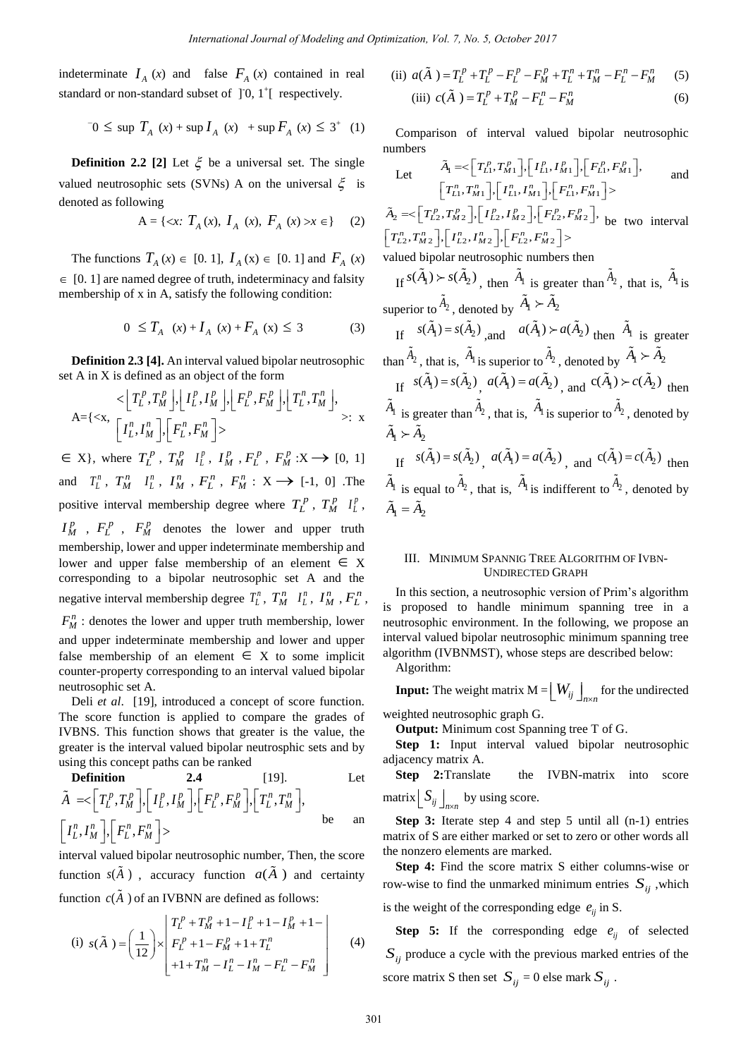indeterminate  $I_A(x)$  and false  $F_A(x)$  contained in real standard or non-standard subset of  $]$ <sup>-1</sup> $[$  respectively.

$$
-0 \le \sup T_A(x) + \sup I_A(x) + \sup F_A(x) \le 3^+(1)
$$

**Definition 2.2** [2] Let  $\xi$  be a universal set. The single valued neutrosophic sets (SVNs) A on the universal  $\xi$  is denoted as following

$$
A = \{ \langle x : T_A(x), I_A(x), F_A(x) \rangle x \in \} \tag{2}
$$

The functions  $T_A(x) \in [0, 1]$ ,  $I_A(x) \in [0, 1]$  and  $F_A(x)$  $\in$  [0. 1] are named degree of truth, indeterminacy and falsity membership of x in A, satisfy the following condition:

$$
0 \leq T_A(x) + I_A(x) + F_A(x) \leq 3 \tag{3}
$$

**Definition 2.3 [4].** An interval valued bipolar neutrosophic

set A in X is defined as an object of the form  
\n
$$
\langle T_L^p, T_M^p \rangle, \left[ I_L^p, I_M^p \right], \left[ F_L^p, F_M^p \right], \left[ T_L^n, T_M^n \right],
$$
\n
$$
A = \{ \langle x, \left[ I_L^n, I_M^n \right], \left[ F_L^n, F_M^n \right] \rangle \} \qquad \rangle: x
$$

 $\in$  X}, where  $T_L^p$ ,  $T_M^p$   $I_L^p$ ,  $I_M^p$ ,  $F_L^p$ ,  $F_M^p$  :  $X \rightarrow [0, 1]$ and  $T_L^n$ ,  $T_M^n$   $I_L^n$ ,  $I_M^n$ ,  $F_L^n$ ,  $F_M^n$ :  $X \to [-1, 0]$ . The positive interval membership degree where  $T_L^p$ ,  $T_M^p$   $I_L^p$ ,  $I_M^p$ ,  $F_L^p$ ,  $F_M^p$  denotes the lower and upper truth membership, lower and upper indeterminate membership and lower and upper false membership of an element  $\in X$ corresponding to a bipolar neutrosophic set A and the negative interval membership degree  $T_L^n$ ,  $T_M^n$   $I_L^n$ ,  $I_M^n$ ,  $F_L^n$ ,  $F_M^n$ : denotes the lower and upper truth membership, lower and upper indeterminate membership and lower and upper false membership of an element  $\in X$  to some implicit counter-property corresponding to an interval valued bipolar

neutrosophic set A. Deli *et al*. [19], introduced a concept of score function. The score function is applied to compare the grades of IVBNS. This function shows that greater is the value, the greater is the interval valued bipolar neutrosphic sets and by using this concept paths can be ranked

**Definition** 2.4 [19]. Let  
\n
$$
\tilde{A} = \left[T_L^p, T_M^p\right], \left[I_L^p, I_M^p\right], \left[F_L^p, F_M^p\right], \left[T_L^n, T_M^n\right],
$$
\n
$$
\left[I_L^n, I_M^n\right], \left[F_L^n, F_M^n\right] >
$$
\nbe an

interval valued bipolar neutrosophic number, Then, the score function  $s(A)$ , accuracy function  $a(A)$  and certainty

function 
$$
c(A)
$$
 of an IVBNN are defined as follows:  
\n(i)  $s(\tilde{A}) = \left(\frac{1}{12}\right) \times \begin{bmatrix} T_L^p + T_M^p + 1 - I_L^p + 1 - I_M^p + 1 - I_M^p \\ F_L^p + 1 - F_M^p + 1 + T_L^n \end{bmatrix}$  (4)  
\n $+1 + T_M^n - I_L^n - I_M^n - F_L^n - F_M^n$ 

(ii) 
$$
a(\tilde{A}) = T_L^p + T_L^p - F_L^p - F_M^p + T_L^n + T_M^n - F_L^n - F_M^n
$$
 (5)

(iii) 
$$
c(\tilde{A}) = T_L^p + T_M^p - F_L^n - F_M^n
$$
 (6)

Comparison of interval valued bipolar neutrosophic numbers

numbers  
\nLet 
$$
\tilde{A}_1 = \langle \begin{bmatrix} T_{L1}^p, T_{M1}^p \end{bmatrix}, \begin{bmatrix} I_{L1}^p, I_{M1}^p \end{bmatrix}, \begin{bmatrix} F_{L1}^p, F_{M1}^p \end{bmatrix},
$$
 and  
\n
$$
\begin{bmatrix} T_{L1}^n, T_{M1}^n \end{bmatrix}, \begin{bmatrix} I_{L1}^n, I_{M1}^n \end{bmatrix}, \begin{bmatrix} F_{L1}^n, F_{M1}^n \end{bmatrix} \rangle
$$
  
\n $\tilde{A}_2 = \langle \begin{bmatrix} T_{L2}^p, T_{M2}^p \end{bmatrix}, \begin{bmatrix} I_{L2}^p, I_{M2}^p \end{bmatrix}, \begin{bmatrix} F_{L2}^p, F_{M2}^p \end{bmatrix} \rangle$  be two interval  
\n
$$
\begin{bmatrix} T_{L2}^n, T_{M2}^n \end{bmatrix}, \begin{bmatrix} I_{L2}^n, I_{M2}^n \end{bmatrix}, \begin{bmatrix} F_{L2}^n, F_{M2}^n \end{bmatrix} \rangle
$$

valued bipolar neutrosophic numbers then

If 
$$
s(\tilde{A}_1) \succ s(\tilde{A}_2)
$$
, then  $\tilde{A}_1$  is greater than  $\tilde{A}_2$ , that is,  $\tilde{A}_1$  is superior to  $\tilde{A}_2$ , denoted by  $\tilde{A}_1 \succ \tilde{A}_2$ 

If 
$$
s(\tilde{A}_1) = s(\tilde{A}_2)
$$
, and  $a(\tilde{A}_1) \succ a(\tilde{A}_2)$  then  $\tilde{A}_1$  is greater  
\nthan  $\tilde{A}_2$ , that is,  $\tilde{A}_1$  is superior to  $\tilde{A}_2$ , denoted by  $\tilde{A}_1 \succ \tilde{A}_2$   
\nIf  $s(\tilde{A}_1) = s(\tilde{A}_2)$ ,  $a(\tilde{A}_1) = a(\tilde{A}_2)$ , and  $c(\tilde{A}_1) \succ c(\tilde{A}_2)$  then  
\n $\tilde{A}_1$  is greater than  $\tilde{A}_2$ , that is,  $\tilde{A}_1$  is superior to  $\tilde{A}_2$ , denoted by  
\n $\tilde{A}_1 \succ \tilde{A}_2$   
\nIf  $s(\tilde{A}_1) = s(\tilde{A}_2)$ ,  $a(\tilde{A}_1) = a(\tilde{A}_2)$ , and  $c(\tilde{A}_1) = c(\tilde{A}_2)$  then  
\n $\tilde{A}_1$  is equal to  $\tilde{A}_2$ , that is,  $\tilde{A}_1$  is indifferent to  $\tilde{A}_2$ , denoted by  
\n $\tilde{A}_1 = \tilde{A}_2$ 

## III. MINIMUM SPANNIG TREE ALGORITHM OF IVBN-UNDIRECTED GRAPH

In this section, a neutrosophic version of Prim's algorithm is proposed to handle minimum spanning tree in a neutrosophic environment. In the following, we propose an interval valued bipolar neutrosophic minimum spanning tree algorithm (IVBNMST), whose steps are described below:

Algorithm:

**Input:** The weight matrix  $M = \left[ W_{ij} \right]_{n \times n}$  for the undirected weighted neutrosophic graph G.

**Output:** Minimum cost Spanning tree T of G.

**Step 1:** Input interval valued bipolar neutrosophic adjacency matrix A.

**Step 2:**Translate the IVBN-matrix into score matrix  $\left[ S_{ij} \right]_{n \times n}$  by using score.

**Step 3:** Iterate step 4 and step 5 until all (n-1) entries matrix of S are either marked or set to zero or other words all the nonzero elements are marked.

**Step 4:** Find the score matrix S either columns-wise or row-wise to find the unmarked minimum entries  $S_{ij}$ , which is the weight of the corresponding edge  $e_{ij}$  in S.

**Step 5:** If the corresponding edge  $e_{ij}$  of selected  $S_{ij}$  produce a cycle with the previous marked entries of the score matrix S then set  $S_{ij} = 0$  else mark  $S_{ij}$ .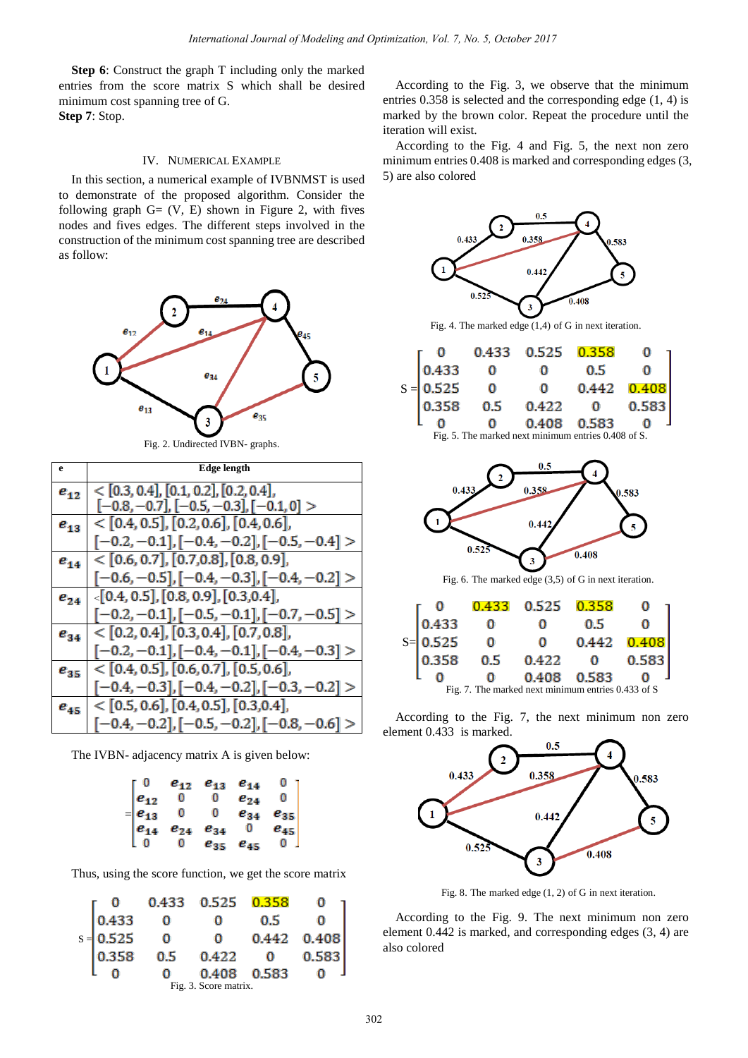**Step 6**: Construct the graph T including only the marked entries from the score matrix S which shall be desired minimum cost spanning tree of G. **Step 7**: Stop.

# IV. NUMERICAL EXAMPLE

In this section, a numerical example of IVBNMST is used to demonstrate of the proposed algorithm. Consider the following graph  $G = (V, E)$  shown in Figure 2, with fives nodes and fives edges. The different steps involved in the construction of the minimum cost spanning tree are described as follow:



Fig. 2. Undirected IVBN- graphs.

| e        | <b>Edge length</b>                                 |
|----------|----------------------------------------------------|
| $e_{12}$ | $<$ [0.3, 0.4], [0.1, 0.2], [0.2, 0.4],            |
|          | $[-0.8, -0.7], [-0.5, -0.3], [-0.1, 0] >$          |
| $e_{13}$ | $<$ [0.4, 0.5], [0.2, 0.6], [0.4, 0.6],            |
|          | $[-0.2, -0.1], [-0.4, -0.2], [-0.5, -0.4] >$       |
| $e_{14}$ | $<$ [0.6, 0.7], [0.7,0.8], [0.8, 0.9],             |
|          | $[-0.6, -0.5]$ , $[-0.4, -0.3]$ , $[-0.4, -0.2]$ > |
| $e_{24}$ | $\{0.4, 0.5\}$ , [0.8, 0.9], [0.3,0.4],            |
|          | $[-0.2, -0.1], [-0.5, -0.1], [-0.7, -0.5] >$       |
| $e_{34}$ | $<$ [0.2, 0.4], [0.3, 0.4], [0.7, 0.8],            |
|          | $[-0.2, -0.1], [-0.4, -0.1], [-0.4, -0.3] >$       |
| $e_{35}$ | $<$ [0.4, 0.5], [0.6, 0.7], [0.5, 0.6],            |
|          | $[-0.4, -0.3], [-0.4, -0.2], [-0.3, -0.2] >$       |
| $e_{45}$ | $<$ [0.5, 0.6], [0.4, 0.5], [0.3,0.4],             |
|          | $[-0.4, -0.2], [-0.5, -0.2], [-0.8, -0.6]$         |

The IVBN- adjacency matrix A is given below:

|                                                | $e_{12}$     | $e_{13}$ | $e_{14}$ |          |
|------------------------------------------------|--------------|----------|----------|----------|
|                                                |              | 0        | $e_{24}$ |          |
| $\begin{array}{c} e_{12}\\ e_{13} \end{array}$ |              | 0.       | $e_{34}$ | $e_{35}$ |
| $e_{14}$                                       | $e_{24}$     | $e_{34}$ | 0        | $e_{45}$ |
|                                                | $\mathbf{O}$ | $e_{35}$ | $e_{45}$ |          |

Thus, using the score function, we get the score matrix

|                       |             |     | 0.433 0.525    | 0.358 |       |
|-----------------------|-------------|-----|----------------|-------|-------|
|                       | 0.433       |     |                | 0.5   |       |
|                       | $s = 0.525$ |     |                | 0.442 | 0.408 |
|                       | 0.358       | 0.5 | 0.422<br>0.408 |       | 0.583 |
|                       |             |     |                | 0.583 |       |
| Fig. 3. Score matrix. |             |     |                |       |       |

According to the Fig. 3, we observe that the minimum entries 0.358 is selected and the corresponding edge (1, 4) is marked by the brown color. Repeat the procedure until the iteration will exist.

According to the Fig. 4 and Fig. 5, the next non zero minimum entries 0.408 is marked and corresponding edges (3, 5) are also colored



0  $\bf{0}$ 0.408 0.583 0

Fig. 7. The marked next minimum entries 0.433 of S

According to the Fig. 7, the next minimum non zero element 0.433 is marked.



Fig. 8. The marked edge (1, 2) of G in next iteration.

According to the Fig. 9. The next minimum non zero element 0.442 is marked, and corresponding edges (3, 4) are also colored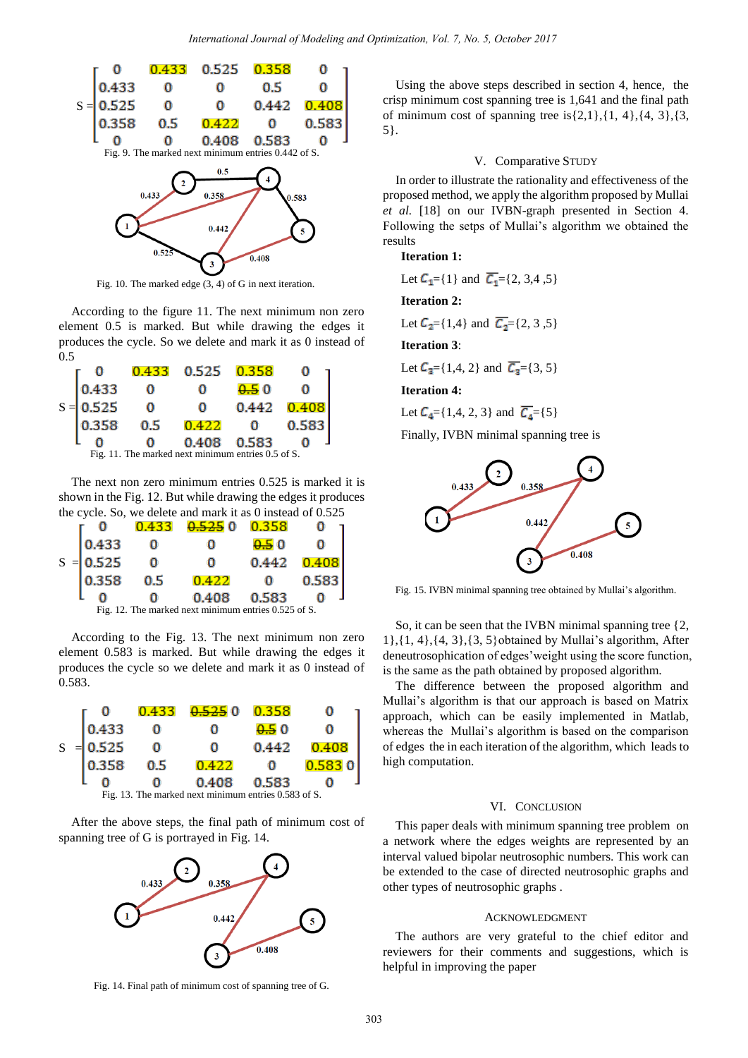

Fig. 10. The marked edge (3, 4) of G in next iteration.

According to the figure 11. The next minimum non zero element 0.5 is marked. But while drawing the edges it produces the cycle. So we delete and mark it as 0 instead of 0.5

|                                                    |       |     | $0.433$ $0.525$ $0.358$  |       |       |  |
|----------------------------------------------------|-------|-----|--------------------------|-------|-------|--|
|                                                    | 0.433 |     |                          | 0.50  |       |  |
| $S =$                                              | 0.525 |     |                          | 0.442 | 0.408 |  |
|                                                    | 0.358 | 0.5 | $0.422$ 0<br>0.408 0.583 |       | 0.583 |  |
|                                                    |       |     |                          |       |       |  |
| Fig. 11. The marked next minimum entries 0.5 of S. |       |     |                          |       |       |  |

The next non zero minimum entries 0.525 is marked it is shown in the Fig. 12. But while drawing the edges it produces the cycle. So, we delete and mark it as 0 instead of 0.525

|                                                      |             | 0.433 | $0.52500$ 0.358 |          |       |  |
|------------------------------------------------------|-------------|-------|-----------------|----------|-------|--|
|                                                      | 0.433       |       |                 | 0.50     |       |  |
|                                                      | $S = 0.525$ |       |                 | 0.442    | 0.408 |  |
|                                                      | 0.358       | 0.5   | 0.422<br>0.408  | $\Omega$ | 0.583 |  |
|                                                      |             |       |                 | 0.583    |       |  |
| Fig. 12. The marked next minimum entries 0.525 of S. |             |       |                 |          |       |  |

According to the Fig. 13. The next minimum non zero element 0.583 is marked. But while drawing the edges it produces the cycle so we delete and mark it as 0 instead of 0.583.



After the above steps, the final path of minimum cost of spanning tree of G is portrayed in Fig. 14.



Fig. 14. Final path of minimum cost of spanning tree of G.

Using the above steps described in section 4, hence, the crisp minimum cost spanning tree is 1,641 and the final path of minimum cost of spanning tree is $\{2,1\}, \{1, 4\}, \{4, 3\}, \{3,$ 5}.

## V. Comparative STUDY

In order to illustrate the rationality and effectiveness of the proposed method, we apply the algorithm proposed by Mullai *et al.* [18] on our IVBN-graph presented in Section 4. Following the setps of Mullai's algorithm we obtained the results

#### **Iteration 1:**

Let  $C_1 = \{1\}$  and  $\overline{C_1} = \{2, 3, 4, 5\}$ 

**Iteration 2:**

Let  $C_2 = \{1,4\}$  and  $\overline{C_2} = \{2, 3, 5\}$ 

**Iteration 3**:

Let  $C_3 = \{1,4, 2\}$  and  $\overline{C_3} = \{3, 5\}$ 

**Iteration 4:**

Let  $C_4 = \{1,4, 2, 3\}$  and  $\overline{C_4} = \{5\}$ 

Finally, IVBN minimal spanning tree is



Fig. 15. IVBN minimal spanning tree obtained by Mullai's algorithm.

So, it can be seen that the IVBN minimal spanning tree {2, 1},{1, 4},{4, 3},{3, 5}obtained by Mullai's algorithm, After deneutrosophication of edges'weight using the score function, is the same as the path obtained by proposed algorithm.

The difference between the proposed algorithm and Mullai's algorithm is that our approach is based on Matrix approach, which can be easily implemented in Matlab, whereas the Mullai's algorithm is based on the comparison of edges the in each iteration of the algorithm, which leads to high computation.

#### VI. CONCLUSION

This paper deals with minimum spanning tree problem on a network where the edges weights are represented by an interval valued bipolar neutrosophic numbers. This work can be extended to the case of directed neutrosophic graphs and other types of neutrosophic graphs .

## ACKNOWLEDGMENT

The authors are very grateful to the chief editor and reviewers for their comments and suggestions, which is helpful in improving the paper